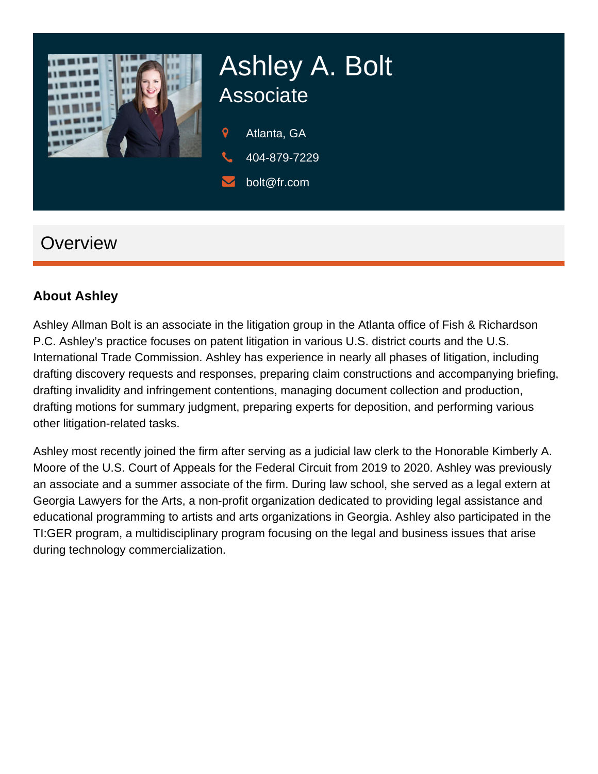

# Ashley A. Bolt **Associate**

 $\mathbf Q$ Atlanta, GA

- 404-879-7229
- bolt@fr.com

## **Overview**

#### **About Ashley**

Ashley Allman Bolt is an associate in the litigation group in the Atlanta office of Fish & Richardson P.C. Ashley's practice focuses on patent litigation in various U.S. district courts and the U.S. International Trade Commission. Ashley has experience in nearly all phases of litigation, including drafting discovery requests and responses, preparing claim constructions and accompanying briefing, drafting invalidity and infringement contentions, managing document collection and production, drafting motions for summary judgment, preparing experts for deposition, and performing various other litigation-related tasks.

Ashley most recently joined the firm after serving as a judicial law clerk to the Honorable Kimberly A. Moore of the U.S. Court of Appeals for the Federal Circuit from 2019 to 2020. Ashley was previously an associate and a summer associate of the firm. During law school, she served as a legal extern at Georgia Lawyers for the Arts, a non-profit organization dedicated to providing legal assistance and educational programming to artists and arts organizations in Georgia. Ashley also participated in the TI:GER program, a multidisciplinary program focusing on the legal and business issues that arise during technology commercialization.